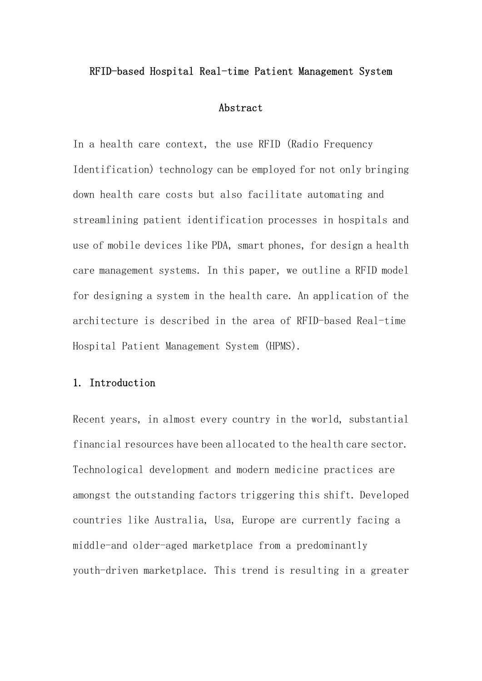#### RFID-based Hospital Real-time Patient Management System

### Abstract

In a health care context, the use RFID (Radio Frequency Identification) technology can be employed for not only bringing down health care costs but also facilitate automating and streamlining patient identification processes in hospitals and use of mobile devices like PDA, smart phones, for design a health care management systems. In this paper, we outline a RFID model for designing a system in the health care. An application of the architecture is described in the area of RFID-based Real-time Hospital Patient Management System (HPMS).

# 1. Introduction

Recent years, in almost every country in the world, substantial financial resources have been allocated to the health care sector. Technological development and modern medicine practices are amongst the outstanding factors triggering this shift. Developed countries like Australia, Usa, Europe are currently facing a middle-and older-aged marketplace from a predominantly youth-driven marketplace. This trend is resulting in a greater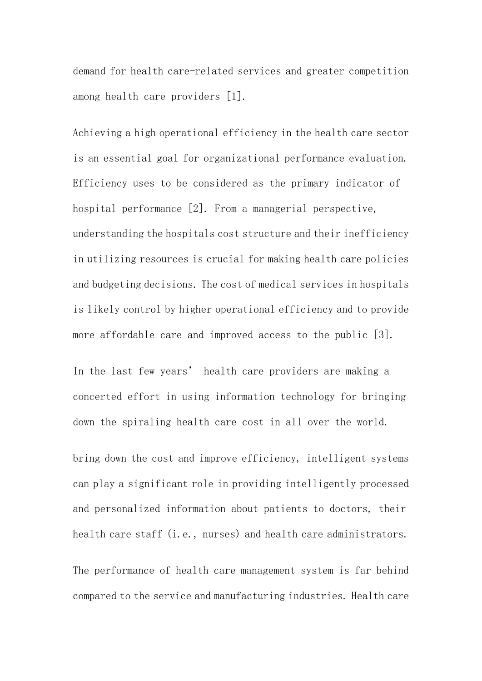demand for health care-related services and greater competition among health care providers [1].

Achieving a high operational efficiency in the health care sector is an essential goal for organizational performance evaluation. Efficiency uses to be considered as the primary indicator of hospital performance [2]. From a managerial perspective, understanding the hospitals cost structure and their inefficiency in utilizing resources is crucial for making health care policies and budgeting decisions. The cost of medical services in hospitals is likely control by higher operational efficiency and to provide more affordable care and improved access to the public [3].

In the last few years' health care providers are making a concerted effort in using information technology for bringing down the spiraling health care cost in all over the world.

bring down the cost and improve efficiency, intelligent systems can play a significant role in providing intelligently processed and personalized information about patients to doctors, their health care staff (i.e., nurses) and health care administrators.

The performance of health care management system is far behind compared to the service and manufacturing industries. Health care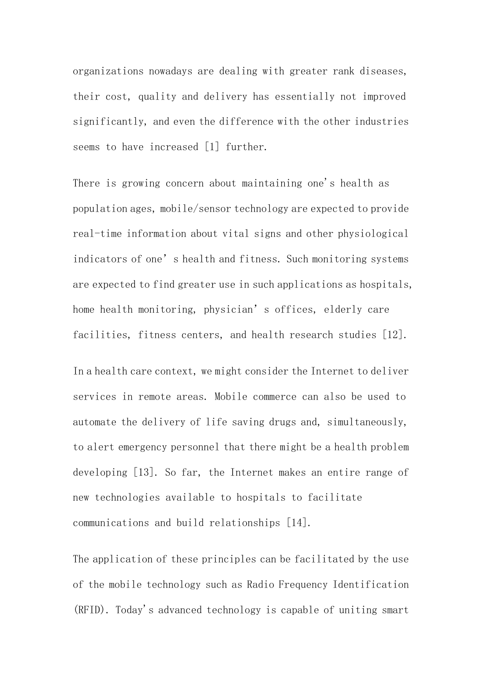organizations nowadays are dealing with greater rank diseases, their cost, quality and delivery has essentially not improved significantly, and even the difference with the other industries seems to have increased [1] further.

There is growing concern about maintaining one's health as population ages, mobile/sensor technology are expected to provide real-time information about vital signs and other physiological indicators of one's health and fitness. Such monitoring systems are expected to find greater use in such applications as hospitals, home health monitoring, physician's offices, elderly care facilities, fitness centers, and health research studies [12].

In a health care context, we might consider the Internet to deliver services in remote areas. Mobile commerce can also be used to automate the delivery of life saving drugs and, simultaneously, to alert emergency personnel that there might be a health problem developing [13]. So far, the Internet makes an entire range of new technologies available to hospitals to facilitate communications and build relationships [14].

The application of these principles can be facilitated by the use of the mobile technology such as Radio Frequency Identification (RFID). Today's advanced technology is capable of uniting smart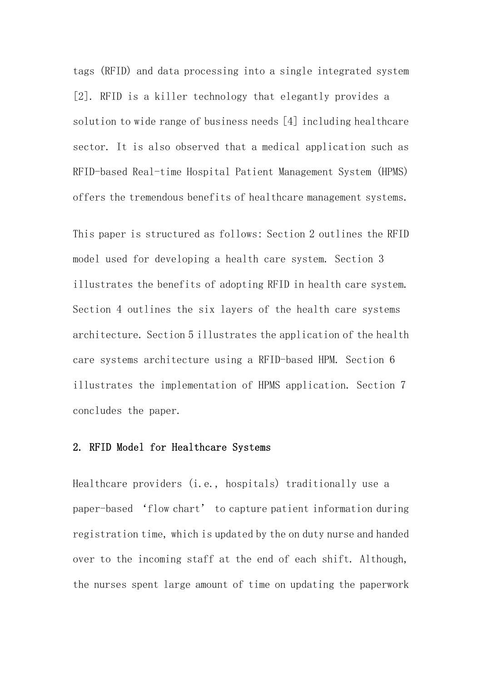tags (RFID) and data processing into a single integrated system [2]. RFID is a killer technology that elegantly provides a solution to wide range of business needs [4] including healthcare sector. It is also observed that a medical application such as RFID-based Real-time Hospital Patient Management System (HPMS) offers the tremendous benefits of healthcare management systems.

This paper is structured as follows: Section 2 outlines the RFID model used for developing a health care system. Section 3 illustrates the benefits of adopting RFID in health care system. Section 4 outlines the six layers of the health care systems architecture. Section 5 illustrates the application of the health care systems architecture using a RFID-based HPM. Section 6 illustrates the implementation of HPMS application. Section 7 concludes the paper.

## 2. RFID Model for Healthcare Systems

Healthcare providers (i.e., hospitals) traditionally use a paper-based 'flow chart' to capture patient information during registration time, which is updated by the on duty nurse and handed over to the incoming staff at the end of each shift. Although, the nurses spent large amount of time on updating the paperwork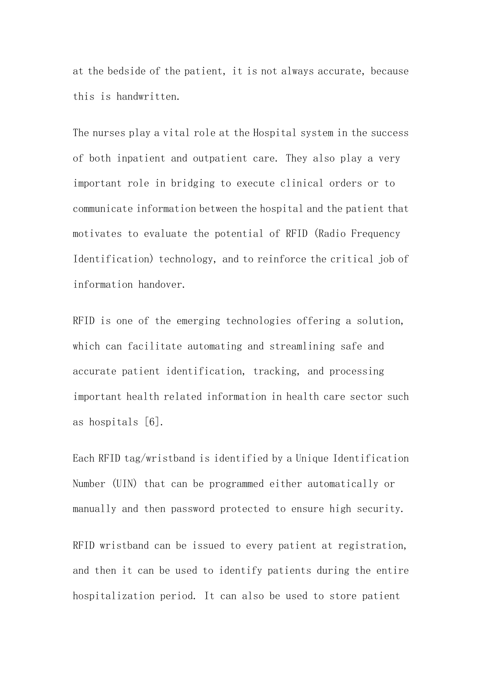at the bedside of the patient, it is not always accurate, because this is handwritten.

The nurses play a vital role at the Hospital system in the success of both inpatient and outpatient care. They also play a very important role in bridging to execute clinical orders or to communicate information between the hospital and the patient that motivates to evaluate the potential of RFID (Radio Frequency Identification) technology, and to reinforce the critical job of information handover.

RFID is one of the emerging technologies offering a solution, which can facilitate automating and streamlining safe and accurate patient identification, tracking, and processing important health related information in health care sector such as hospitals [6].

Each RFID tag/wristband is identified by a Unique Identification Number (UIN) that can be programmed either automatically or manually and then password protected to ensure high security.

RFID wristband can be issued to every patient at registration, and then it can be used to identify patients during the entire hospitalization period. It can also be used to store patient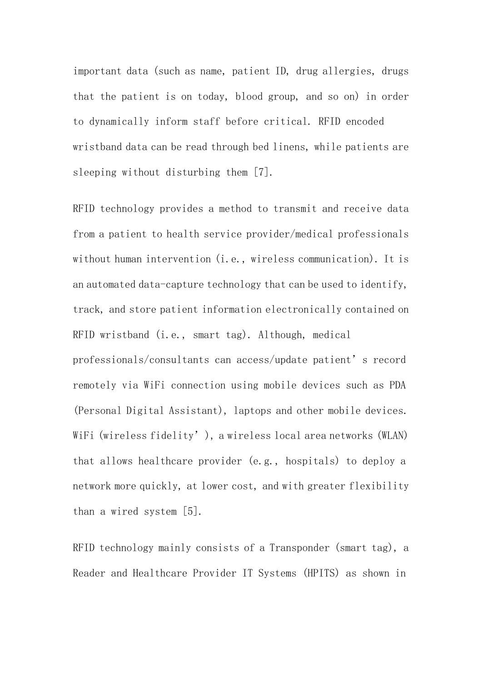important data (such as name, patient ID, drug allergies, drugs that the patient is on today, blood group, and so on) in order to dynamically inform staff before critical. RFID encoded wristband data can be read through bed linens, while patients are sleeping without disturbing them [7].

RFID technology provides a method to transmit and receive data from a patient to health service provider/medical professionals without human intervention (i.e., wireless communication). It is an automated data-capture technology that can be used to identify, track, and store patient information electronically contained on RFID wristband (i.e., smart tag). Although, medical professionals/consultants can access/update patient's record remotely via WiFi connection using mobile devices such as PDA (Personal Digital Assistant), laptops and other mobile devices. WiFi (wireless fidelity'), a wireless local area networks (WLAN) that allows healthcare provider (e.g., hospitals) to deploy a network more quickly, at lower cost, and with greater flexibility than a wired system [5].

RFID technology mainly consists of a Transponder (smart tag), a Reader and Healthcare Provider IT Systems (HPITS) as shown in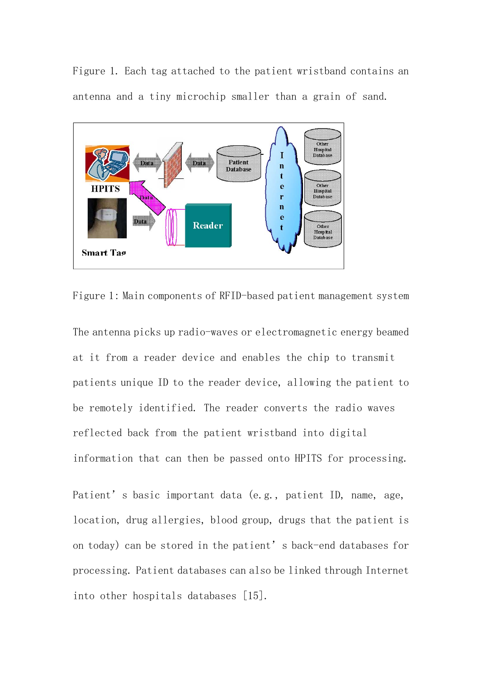Figure 1. Each tag attached to the patient wristband contains an antenna and a tiny microchip smaller than a grain of sand.



Figure 1: Main components of RFID-based patient management system

The antenna picks up radio-waves or electromagnetic energy beamed at it from a reader device and enables the chip to transmit patients unique ID to the reader device, allowing the patient to be remotely identified. The reader converts the radio waves reflected back from the patient wristband into digital information that can then be passed onto HPITS for processing.

Patient's basic important data (e.g., patient ID, name, age, location, drug allergies, blood group, drugs that the patient is on today) can be stored in the patient's back-end databases for processing. Patient databases can also be linked through Internet into other hospitals databases [15].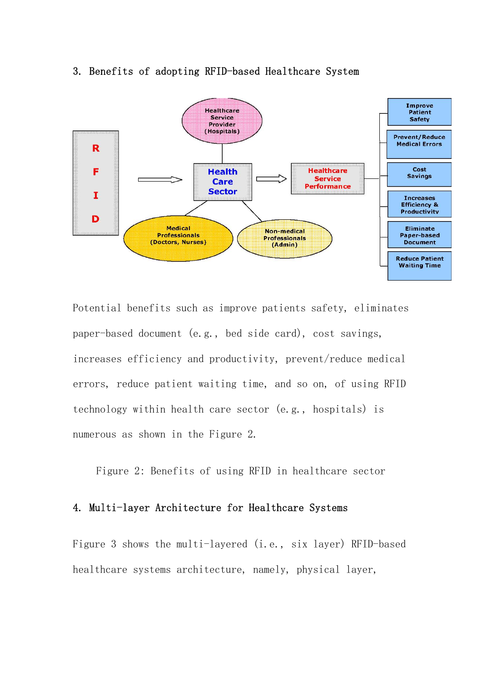## 3. Benefits of adopting RFID-based Healthcare System



Potential benefits such as improve patients safety, eliminates paper-based document (e.g., bed side card), cost savings, increases efficiency and productivity, prevent/reduce medical errors, reduce patient waiting time, and so on, of using RFID technology within health care sector (e.g., hospitals) is numerous as shown in the Figure 2.

Figure 2: Benefits of using RFID in healthcare sector

### 4. Multi-layer Architecture for Healthcare Systems

Figure 3 shows the multi-layered (i.e., six layer) RFID-based healthcare systems architecture, namely, physical layer,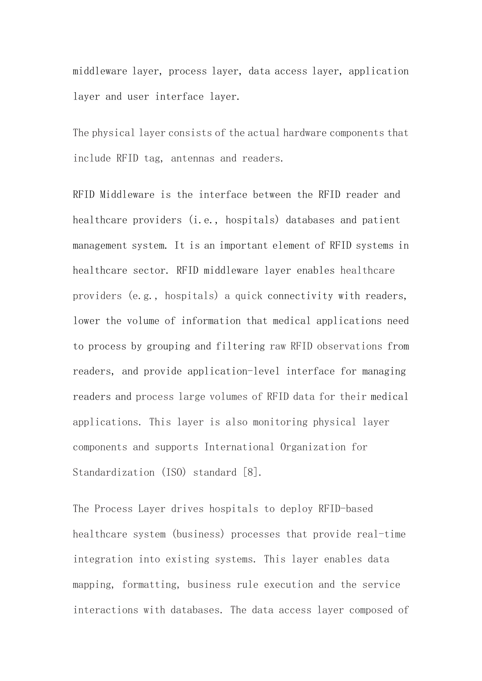middleware layer, process layer, data access layer, application layer and user interface layer.

The physical layer consists of the actual hardware components that include RFID tag, antennas and readers.

RFID Middleware is the interface between the RFID reader and healthcare providers (i.e., hospitals) databases and patient management system. It is an important element of RFID systems in healthcare sector. RFID middleware layer enables healthcare providers (e.g., hospitals) a quick connectivity with readers, lower the volume of information that medical applications need to process by grouping and filtering raw RFID observations from readers, and provide application-level interface for managing readers and process large volumes of RFID data for their medical applications. This layer is also monitoring physical layer components and supports International Organization for Standardization (ISO) standard [8].

The Process Layer drives hospitals to deploy RFID-based healthcare system (business) processes that provide real-time integration into existing systems. This layer enables data mapping, formatting, business rule execution and the service interactions with databases. The data access layer composed of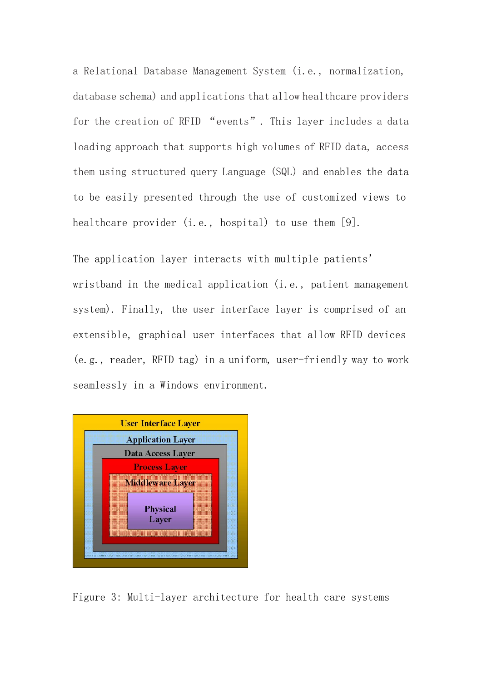a Relational Database Management System (i.e., normalization, database schema) and applications that allow healthcare providers for the creation of RFID "events". This layer includes a data loading approach that supports high volumes of RFID data, access them using structured query Language (SQL) and enables the data to be easily presented through the use of customized views to healthcare provider (i.e., hospital) to use them [9].

The application layer interacts with multiple patients' wristband in the medical application (i.e., patient management system). Finally, the user interface layer is comprised of an extensible, graphical user interfaces that allow RFID devices (e.g., reader, RFID tag) in a uniform, user-friendly way to work seamlessly in a Windows environment.



Figure 3: Multi-layer architecture for health care systems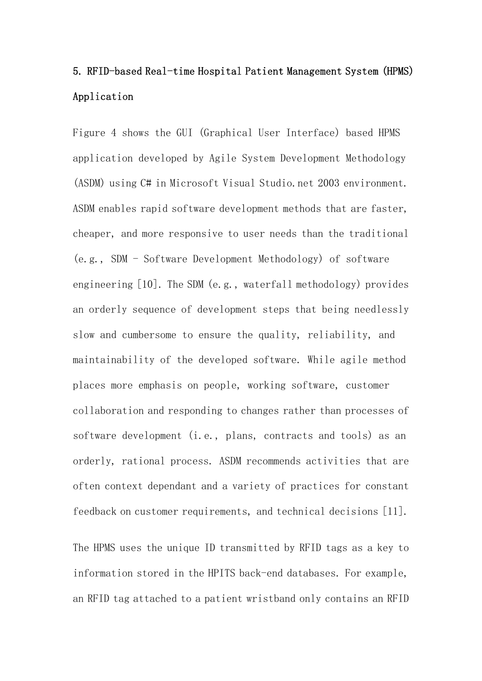# 5. RFID-based Real-time Hospital Patient Management System (HPMS) Application

Figure 4 shows the GUI (Graphical User Interface) based HPMS application developed by Agile System Development Methodology (ASDM) using C# in Microsoft Visual Studio.net 2003 environment. ASDM enables rapid software development methods that are faster, cheaper, and more responsive to user needs than the traditional (e.g., SDM - Software Development Methodology) of software engineering [10]. The SDM (e.g., waterfall methodology) provides an orderly sequence of development steps that being needlessly slow and cumbersome to ensure the quality, reliability, and maintainability of the developed software. While agile method places more emphasis on people, working software, customer collaboration and responding to changes rather than processes of software development (i.e., plans, contracts and tools) as an orderly, rational process. ASDM recommends activities that are often context dependant and a variety of practices for constant feedback on customer requirements, and technical decisions [11].

The HPMS uses the unique ID transmitted by RFID tags as a key to information stored in the HPITS back-end databases. For example, an RFID tag attached to a patient wristband only contains an RFID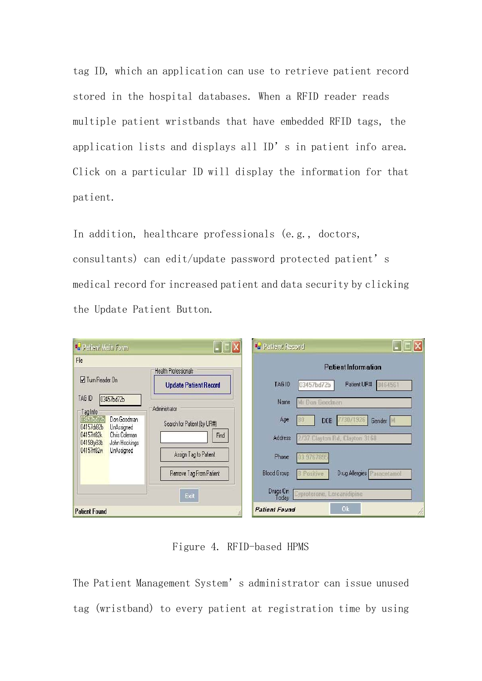tag ID, which an application can use to retrieve patient record stored in the hospital databases. When a RFID reader reads multiple patient wristbands that have embedded RFID tags, the application lists and displays all ID's in patient info area. Click on a particular ID will display the information for that patient.

In addition, healthcare professionals (e.g., doctors, consultants) can edit/update password protected patient's medical record for increased patient and data security by clicking the Update Patient Button.

| <sup>a</sup> Patient Main Form                                                                                                                                     | $\blacksquare$ $\blacksquare$ $\times$       | De Patient Record                                                     |  |
|--------------------------------------------------------------------------------------------------------------------------------------------------------------------|----------------------------------------------|-----------------------------------------------------------------------|--|
| File                                                                                                                                                               |                                              | <b>Patient Information</b>                                            |  |
|                                                                                                                                                                    | <b>Health Professionals</b>                  |                                                                       |  |
| <b>V</b> Turn Reader On                                                                                                                                            | <b>Update Patient Record</b>                 | TAG ID<br>Patient UR#<br>03457bd72b<br>8464561                        |  |
| TAG ID<br>03457bd72b                                                                                                                                               |                                              | Mr Don Goodman<br>Name                                                |  |
| Tag Info<br>Don Goodman<br>03457bd72b<br>04157dr82b<br><b>UnAssigned</b><br>04157rt82k<br>Chris Coleman<br>04158ty83b<br>John Hockings<br>04157rt82w<br>UnAssigned | Administrator<br>Search for Patient (by UR#) | 730/1926<br>Age<br>DOB<br>Gender                                      |  |
|                                                                                                                                                                    | Find                                         | Address<br>2/37 Clayton Rd, Clayton 3168                              |  |
|                                                                                                                                                                    | Assign Tag to Patient                        | Phone<br>03 9767895                                                   |  |
|                                                                                                                                                                    | Remove Tag From Patient                      | <b>Blood Group</b><br>Drug Allergies Paracetamol<br><b>B</b> Positive |  |
|                                                                                                                                                                    | Exit                                         | Drugs On<br>Cyproterone, Lercanidipine<br>Today                       |  |
| <b>Patient Found</b>                                                                                                                                               |                                              | 0 <sub>k</sub><br><b>Patient Found</b>                                |  |

Figure 4. RFID-based HPMS

The Patient Management System's administrator can issue unused tag (wristband) to every patient at registration time by using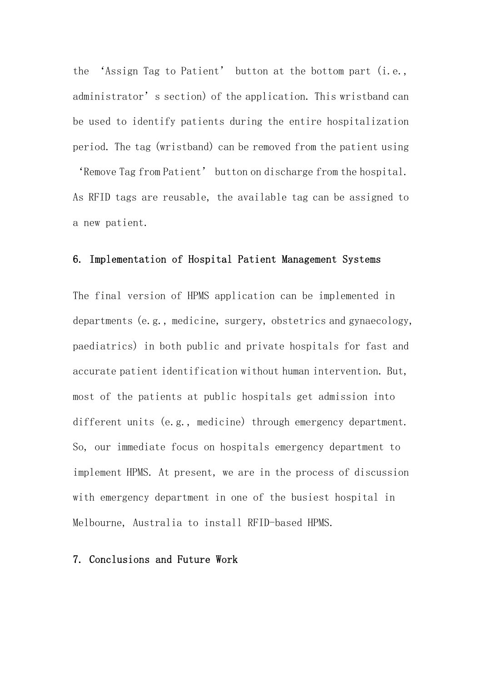the 'Assign Tag to Patient' button at the bottom part (i.e., administrator's section) of the application. This wristband can be used to identify patients during the entire hospitalization period. The tag (wristband) can be removed from the patient using

'Remove Tag from Patient' button on discharge from the hospital. As RFID tags are reusable, the available tag can be assigned to a new patient.

## 6. Implementation of Hospital Patient Management Systems

The final version of HPMS application can be implemented in departments (e.g., medicine, surgery, obstetrics and gynaecology, paediatrics) in both public and private hospitals for fast and accurate patient identification without human intervention. But, most of the patients at public hospitals get admission into different units (e.g., medicine) through emergency department. So, our immediate focus on hospitals emergency department to implement HPMS. At present, we are in the process of discussion with emergency department in one of the busiest hospital in Melbourne, Australia to install RFID-based HPMS.

# 7. Conclusions and Future Work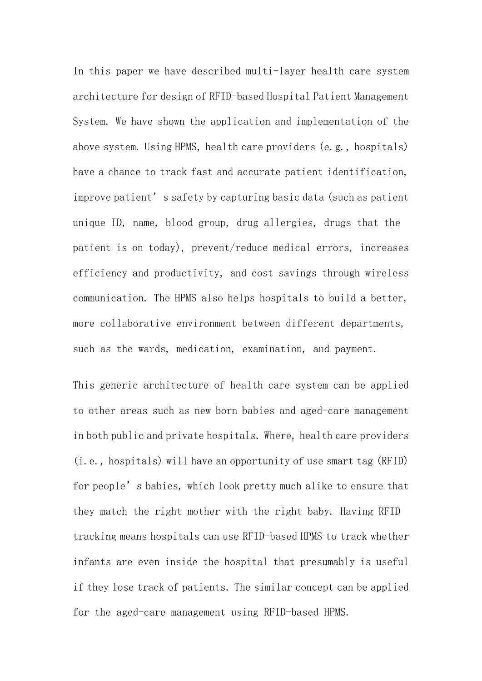In this paper we have described multi-layer health care system architecture for design of RFID-based Hospital Patient Management System. We have shown the application and implementation of the above system. Using HPMS, health care providers (e.g., hospitals) have a chance to track fast and accurate patient identification, improve patient's safety by capturing basic data (such as patient unique ID, name, blood group, drug allergies, drugs that the patient is on today), prevent/reduce medical errors, increases efficiency and productivity, and cost savings through wireless communication. The HPMS also helps hospitals to build a better, more collaborative environment between different departments, such as the wards, medication, examination, and payment.

This generic architecture of health care system can be applied to other areas such as new born babies and aged-care management in both public and private hospitals. Where, health care providers (i.e., hospitals) will have an opportunity of use smart tag (RFID) for people's babies, which look pretty much alike to ensure that they match the right mother with the right baby. Having RFID tracking means hospitals can use RFID-based HPMS to track whether infants are even inside the hospital that presumably is useful if they lose track of patients. The similar concept can be applied for the aged-care management using RFID-based HPMS.